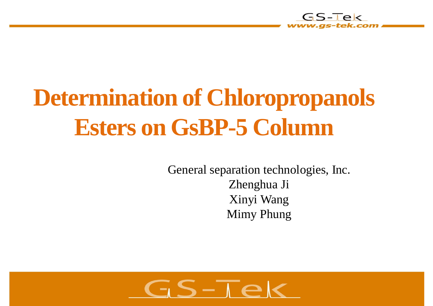

# **Determination of Chloropropanols Esters on GsBP-5 Column**

General separation technologies, Inc. Zhenghua Ji Xinyi Wang Mimy Phung

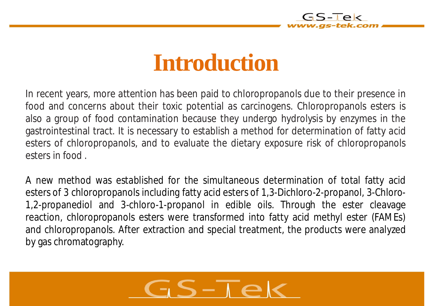

### **Introduction**

In recent years, more attention has been paid to chloropropanols due to their presence in food and concerns about their toxic potential as carcinogens. Chloropropanols esters is also a group of food contamination because they undergo hydrolysis by enzymes in the gastrointestinal tract. It is necessary to establish a method for determination of fatty acid esters of chloropropanols, and to evaluate the dietary exposure risk of chloropropanols esters in food .

A new method was established for the simultaneous determination of total fatty acid esters of 3 chloropropanols including fatty acid esters of 1,3-Dichloro-2-propanol, 3-Chloro-1,2-propanediol and 3-chloro-1-propanol in edible oils. Through the ester cleavage reaction, chloropropanols esters were transformed into fatty acid methyl ester (FAMEs) and chloropropanols. After extraction and special treatment, the products were analyzed by gas chromatography.

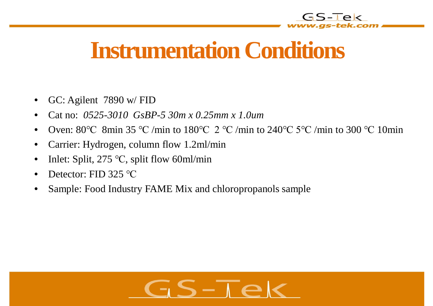

# **Instrumentation Conditions**

- GC: Agilent 7890 w/ FID
- Cat no: *0525-3010 GsBP-5 30m x 0.25mm x 1.0um*
- Oven: 80 $\degree$ C 8min 35  $\degree$ C /min to 180 $\degree$ C 2  $\degree$ C /min to 240 $\degree$ C /min to 300  $\degree$ C 10min
- Carrier: Hydrogen, column flow 1.2ml/min
- Inlet: Split, 275  $\degree$ C, split flow 60ml/min
- Detector: FID 325 °C
- Sample: Food Industry FAME Mix and chloropropanols sample

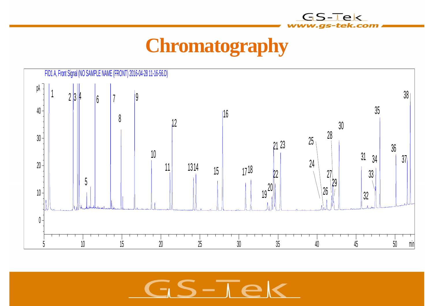

GS-Tek

v.gs-tek.com



 $S-\overline{I}e$ て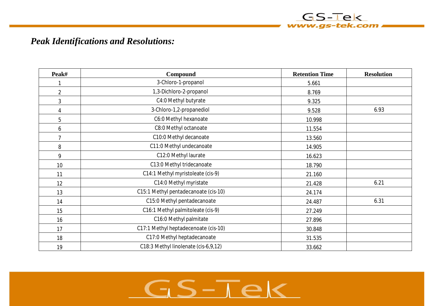#### *Peak Identifications and Resolutions:*

| Peak#          | Compound                               | <b>Retention Time</b> | <b>Resolution</b> |
|----------------|----------------------------------------|-----------------------|-------------------|
| 1              | 3-Chloro-1-propanol                    | 5.661                 |                   |
| $\overline{2}$ | 1,3-Dichloro-2-propanol                | 8.769                 |                   |
| $\mathfrak{Z}$ | C4:0 Methyl butyrate                   | 9.325                 |                   |
| 4              | 3-Chloro-1,2-propanediol               | 9.528                 | 6.93              |
| 5              | C6:0 Methyl hexanoate                  | 10.998                |                   |
| 6              | C8:0 Methyl octanoate                  | 11.554                |                   |
| $\overline{7}$ | C10:0 Methyl decanoate                 | 13.560                |                   |
| 8              | C11:0 Methyl undecanoate               | 14.905                |                   |
| 9              | C12:0 Methyl laurate                   | 16.623                |                   |
| 10             | C13:0 Methyl tridecanoate              | 18.790                |                   |
| 11             | C14:1 Methyl myristoleate (cis-9)      | 21.160                |                   |
| 12             | C14:0 Methyl myristate                 | 21.428                | 6.21              |
| 13             | C15:1 Methyl pentadecanoate (cis-10)   | 24.174                |                   |
| 14             | C15:0 Methyl pentadecanoate            | 24.487                | 6.31              |
| 15             | C16:1 Methyl palmitoleate (cis-9)      | 27.249                |                   |
| 16             | C16:0 Methyl palmitate                 | 27.896                |                   |
| 17             | C17:1 Methyl heptadecenoate (cis-10)   | 30.848                |                   |
| 18             | C17:0 Methyl heptadecanoate            | 31.535                |                   |
| 19             | C18:3 Methyl linolenate (cis-6, 9, 12) | 33.662                |                   |

GS-Tek www.gs-tek.com

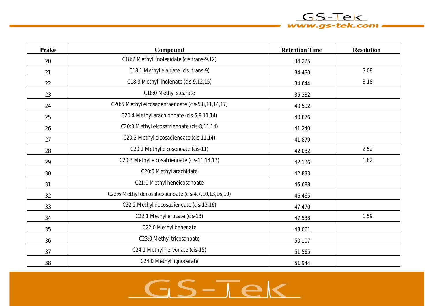#### **Peak# Compound Retention Time Resolution** 20 C18:2 Methyl linoleaidate (cis,trans-9,12) 34.225 21  $\vert$  C18:1 Methyl elaidate (cis. trans-9)  $\vert$  34.430  $\vert$  3.08 22 C18:3 Methyl linolenate (cis-9,12,15) 34.644 3.18 23 a channel control control control control control control control control control control control control control control control control control control control control control control control control control control c  $24$  C20:5 Methyl eicosapentaenoate (cis-5,8,11,14,17)  $40.592$ 25 C20:4 Methyl arachidonate (cis-5,8,11,14) 40.876 26 C20:3 Methyl eicosatrienoate (cis-8,11,14) 41.240 27 a.e. (20:2 Methyl eicosadienoate (cis-11,14) 41.879 28 and C20:1 Methyl eicosenoate (cis-11) 42.032 and 42.032 and 42.032 and 42.032 and 42.032 and 42.032 and 42.032 29 | C20:3 Methyl eicosatrienoate (cis-11,14,17) | 42,136 | 1.82  $30$  C20:0 Methyl arachidate  $42.833$ 31 C21:0 Methyl heneicosanoate 2011 12:5688 32 C22:6 Methyl docosahexaenoate (cis-4,7,10,13,16,19) 46.465  $33$  c22:2 Methyl docosadienoate (cis-13,16)  $47.470$ 34 C22:1 Methyl erucate (cis-13) 47.538 1.59 35 and the C22:0 Methyl behenate and the contract of the 48.061 36 C23:0 Methyl tricosanoate 50.107 37 C24:1 Methyl nervonate (cis-15) 51.565 38 C24:0 Methyl lignocerate **1991** S1.944

 $GS-TeV$ www.gs-tek.com